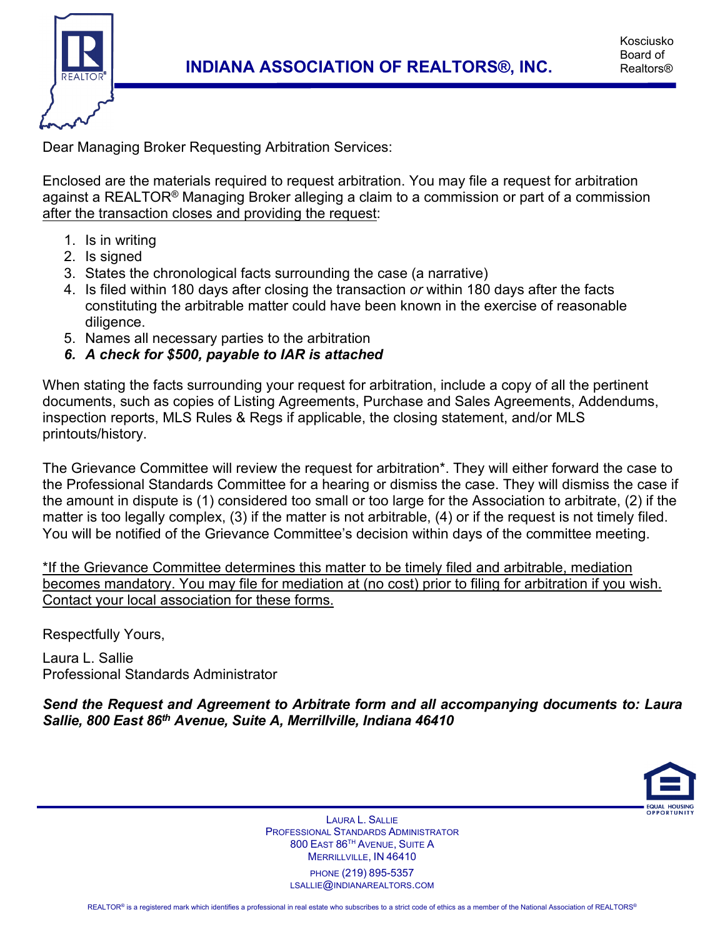

Kosciusko Board of Realtors®

Dear Managing Broker Requesting Arbitration Services:

Enclosed are the materials required to request arbitration. You may file a request for arbitration against a REALTOR<sup>®</sup> Managing Broker alleging a claim to a commission or part of a commission after the transaction closes and providing the request:

- 1. Is in writing
- 2. Is signed
- 3. States the chronological facts surrounding the case (a narrative)
- 4. Is filed within 180 days after closing the transaction *or* within 180 days after the facts constituting the arbitrable matter could have been known in the exercise of reasonable diligence.
- 5. Names all necessary parties to the arbitration
- *6. A check for \$500, payable to IAR is attached*

When stating the facts surrounding your request for arbitration, include a copy of all the pertinent documents, such as copies of Listing Agreements, Purchase and Sales Agreements, Addendums, inspection reports, MLS Rules & Regs if applicable, the closing statement, and/or MLS printouts/history.

The Grievance Committee will review the request for arbitration\*. They will either forward the case to the Professional Standards Committee for a hearing or dismiss the case. They will dismiss the case if the amount in dispute is (1) considered too small or too large for the Association to arbitrate, (2) if the matter is too legally complex, (3) if the matter is not arbitrable, (4) or if the request is not timely filed. You will be notified of the Grievance Committee's decision within days of the committee meeting.

\*If the Grievance Committee determines this matter to be timely filed and arbitrable, mediation becomes mandatory. You may file for mediation at (no cost) prior to filing for arbitration if you wish. Contact your local association for these forms.

Respectfully Yours,

Laura L. Sallie Professional Standards Administrator

*Send the Request and Agreement to Arbitrate form and all accompanying documents to: Laura Sallie, 800 East 86th Avenue, Suite A, Merrillville, Indiana 46410*



LAURA L. SALLIE PROFESSIONAL STANDARDS ADMINISTRATOR 800 EAST 86TH AVENUE, SUITE A MERRILLVILLE, IN 46410 PHONE (219) 895-5357

LSALLIE@INDIANAREALTORS.COM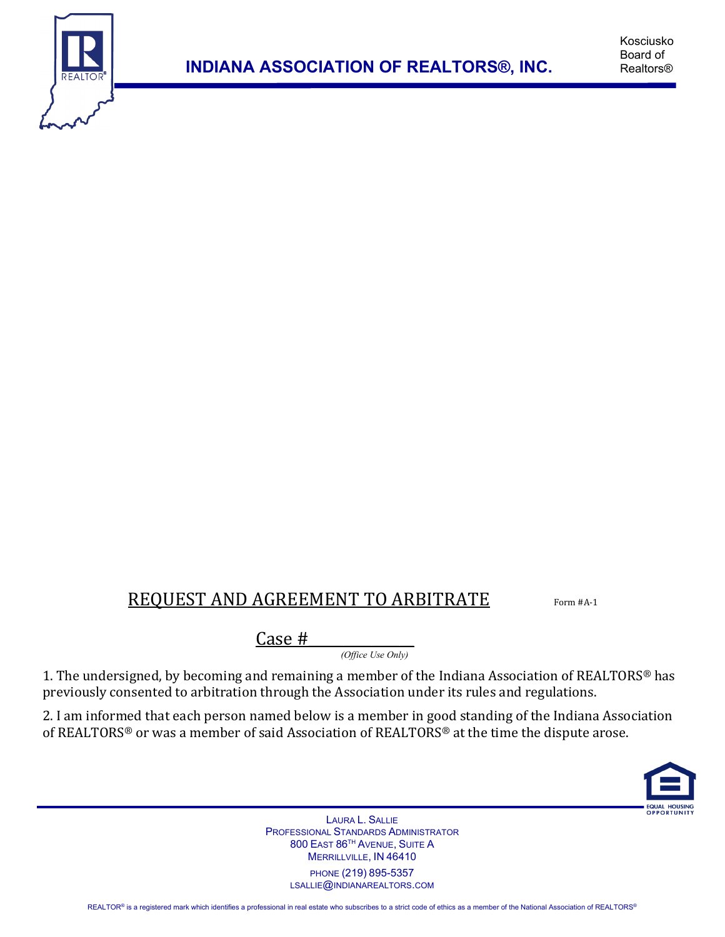

## REQUEST AND AGREEMENT TO ARBITRATE Form #A-1

 $\frac{Case \#}{(Office \: Use \: Only)}$ 

1. The undersigned, by becoming and remaining a member of the Indiana Association of REALTORS® has previously consented to arbitration through the Association under its rules and regulations.

2. I am informed that each person named below is a member in good standing of the Indiana Association of REALTORS® or was a member of said Association of REALTORS® at the time the dispute arose.



LAURA L. SALLIE PROFESSIONAL STANDARDS ADMINISTRATOR 800 EAST 86TH AVENUE, SUITE A MERRILLVILLE, IN 46410 PHONE (219) 895-5357

LSALLIE@INDIANAREALTORS.COM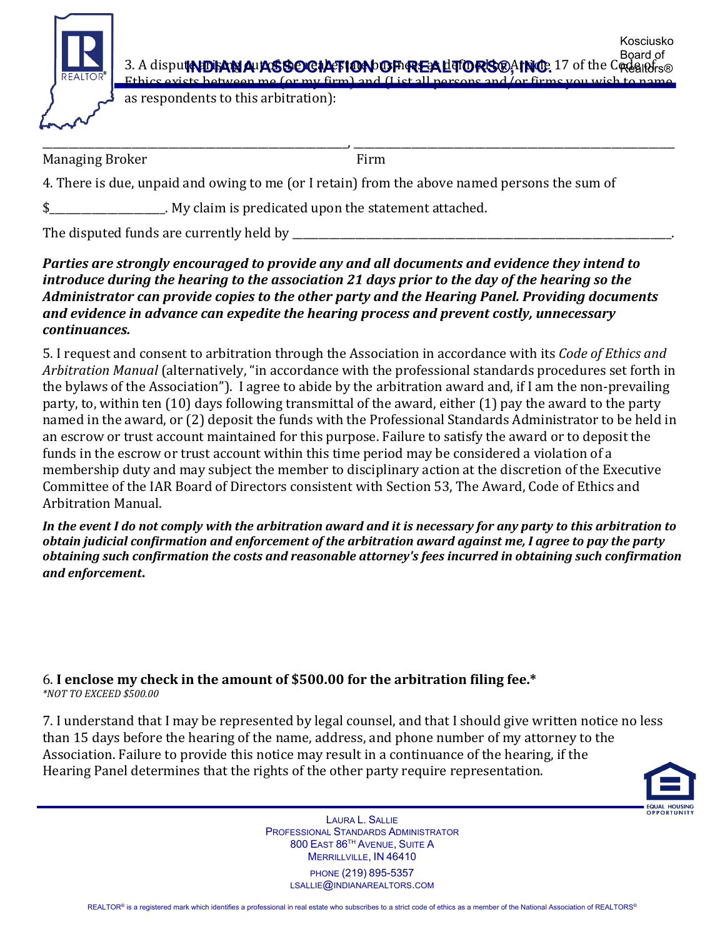

3. A dispu**te to said Aux SSOCIATION OF REALTORS®, INC.** 17 of the Code infra Board of Ethics exists between me (or my firm) and (List all persons and/or firms you

as respondents to this arbitration):

\_\_\_\_\_\_\_\_\_\_\_\_\_\_\_\_\_\_\_\_\_\_\_\_\_\_\_\_\_\_\_\_\_\_\_\_\_\_\_\_\_\_\_\_\_\_\_\_\_\_\_\_\_\_\_\_\_\_, \_\_\_\_\_\_\_\_\_\_\_\_\_\_\_\_\_\_\_\_\_\_\_\_\_\_\_\_\_\_\_\_\_\_\_\_\_\_\_\_\_\_\_\_\_\_\_\_\_\_\_\_\_\_\_\_\_\_\_\_\_ Managing Broker Firm

4. There is due, unpaid and owing to me (or I retain) from the above named persons the sum of

\$\_\_\_\_\_\_\_\_\_\_\_\_\_\_\_\_\_\_\_\_\_\_. My claim is predicated upon the statement attached.

The disputed funds are currently held by \_

*Parties are strongly encouraged to provide any and all documents and evidence they intend to introduce during the hearing to the association 21 days prior to the day of the hearing so the Administrator can provide copies to the other party and the Hearing Panel. Providing documents and evidence in advance can expedite the hearing process and prevent costly, unnecessary continuances.*

5. I request and consent to arbitration through the Association in accordance with its *Code of Ethics and Arbitration Manual* (alternatively, "in accordance with the professional standards procedures set forth in the bylaws of the Association"). I agree to abide by the arbitration award and, if I am the non-prevailing party, to, within ten (10) days following transmittal of the award, either (1) pay the award to the party named in the award, or (2) deposit the funds with the Professional Standards Administrator to be held in an escrow or trust account maintained for this purpose. Failure to satisfy the award or to deposit the funds in the escrow or trust account within this time period may be considered a violation of a membership duty and may subject the member to disciplinary action at the discretion of the Executive Committee of the IAR Board of Directors consistent with Section 53, The Award, Code of Ethics and Arbitration Manual.

*In the event I do not comply with the arbitration award and it is necessary for any party to this arbitration to obtain judicial confirmation and enforcement of the arbitration award against me, I agree to pay the party obtaining such confirmation the costs and reasonable attorney's fees incurred in obtaining such confirmation and enforcement***.** 

## 6. **I enclose my check in the amount of \$500.00 for the arbitration filing fee.\***

*\*NOT TO EXCEED \$500.00*

7. I understand that I may be represented by legal counsel, and that I should give written notice no less than 15 days before the hearing of the name, address, and phone number of my attorney to the Association. Failure to provide this notice may result in a continuance of the hearing, if the Hearing Panel determines that the rights of the other party require representation.



Kosciusko

LAURA L. SALLIE PROFESSIONAL STANDARDS ADMINISTRATOR 800 EAST 86TH AVENUE, SUITE A MERRILLVILLE, IN 46410

PHONE (219) 895-5357 LSALLIE@INDIANAREALTORS.COM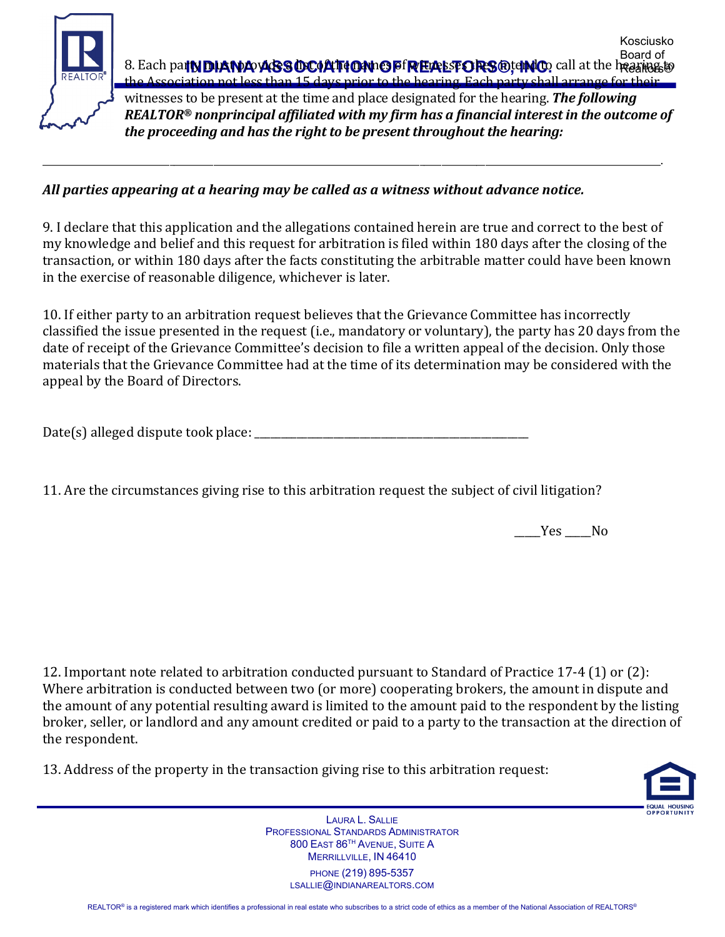

## *All parties appearing at a hearing may be called as a witness without advance notice.*

9. I declare that this application and the allegations contained herein are true and correct to the best of my knowledge and belief and this request for arbitration is filed within 180 days after the closing of the transaction, or within 180 days after the facts constituting the arbitrable matter could have been known in the exercise of reasonable diligence, whichever is later.

\_\_\_\_\_\_\_\_\_\_\_\_\_\_\_\_\_\_\_\_\_\_\_\_\_\_\_\_\_\_\_\_\_\_\_\_\_\_\_\_\_\_\_\_\_\_\_\_\_\_\_\_\_\_\_\_\_\_\_\_\_\_\_\_\_\_\_\_\_\_\_\_\_\_\_\_\_\_\_\_\_\_\_\_\_\_\_\_\_\_\_\_\_\_\_\_\_\_\_\_\_\_\_\_\_\_\_\_\_\_\_\_\_\_\_\_\_\_\_\_\_\_\_\_\_\_\_\_\_\_\_\_\_\_\_\_\_\_\_\_\_.

10. If either party to an arbitration request believes that the Grievance Committee has incorrectly classified the issue presented in the request (i.e., mandatory or voluntary), the party has 20 days from the date of receipt of the Grievance Committee's decision to file a written appeal of the decision. Only those materials that the Grievance Committee had at the time of its determination may be considered with the appeal by the Board of Directors.

Date(s) alleged dispute took place: \_\_\_\_\_\_\_\_\_\_\_\_\_\_\_\_\_\_\_\_\_\_\_\_\_\_\_\_\_\_\_\_\_\_\_\_\_\_\_\_\_\_\_\_\_\_\_\_\_\_\_\_

11. Are the circumstances giving rise to this arbitration request the subject of civil litigation?

\_\_\_\_\_Yes \_\_\_\_\_No

12. Important note related to arbitration conducted pursuant to Standard of Practice 17-4 (1) or (2): Where arbitration is conducted between two (or more) cooperating brokers, the amount in dispute and the amount of any potential resulting award is limited to the amount paid to the respondent by the listing broker, seller, or landlord and any amount credited or paid to a party to the transaction at the direction of the respondent.

13. Address of the property in the transaction giving rise to this arbitration request:



LAURA L. SALLIE PROFESSIONAL STANDARDS ADMINISTRATOR 800 EAST 86TH AVENUE, SUITE A MERRILLVILLE, IN 46410 PHONE (219) 895-5357

LSALLIE@INDIANAREALTORS.COM